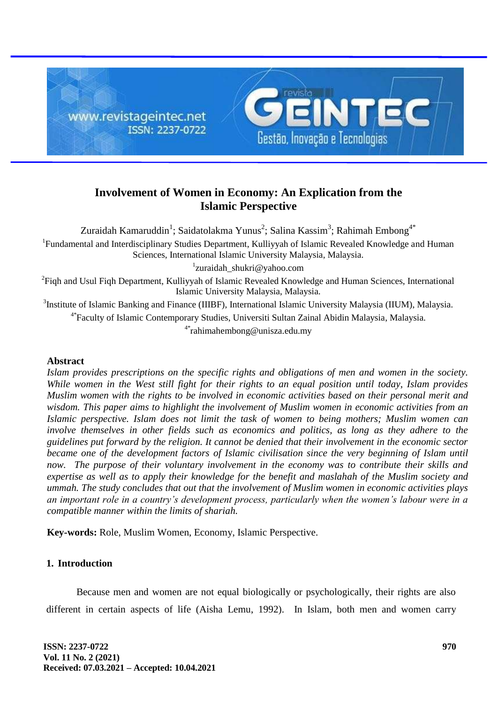

# **Involvement of Women in Economy: An Explication from the Islamic Perspective**

Zuraidah Kamaruddin $^1$ ; Saidatolakma Yunus $^2$ ; Salina Kassim $^3$ ; Rahimah Embong $^{4^{\ast}}$ 

<sup>1</sup>Fundamental and Interdisciplinary Studies Department, Kulliyyah of Islamic Revealed Knowledge and Human Sciences, International Islamic University Malaysia, Malaysia.

1 [zuraidah\\_shukri@yahoo.com](mailto:zuraidah_shukri@yahoo.com)

<sup>2</sup> Fiqh and Usul Fiqh Department, Kulliyyah of Islamic Revealed Knowledge and Human Sciences, International Islamic University Malaysia, Malaysia.

<sup>3</sup>Institute of Islamic Banking and Finance (IIIBF), International Islamic University Malaysia (IIUM), Malaysia. 4\* Faculty of Islamic Contemporary Studies, Universiti Sultan Zainal Abidin Malaysia, Malaysia.

4\*rahimahembong@unisza.edu.my

### **Abstract**

*Islam provides prescriptions on the specific rights and obligations of men and women in the society. While women in the West still fight for their rights to an equal position until today, Islam provides Muslim women with the rights to be involved in economic activities based on their personal merit and wisdom. This paper aims to highlight the involvement of Muslim women in economic activities from an Islamic perspective. Islam does not limit the task of women to being mothers; Muslim women can involve themselves in other fields such as economics and politics, as long as they adhere to the guidelines put forward by the religion. It cannot be denied that their involvement in the economic sector became one of the development factors of Islamic civilisation since the very beginning of Islam until now. The purpose of their voluntary involvement in the economy was to contribute their skills and expertise as well as to apply their knowledge for the benefit and maslahah of the Muslim society and ummah. The study concludes that out that the involvement of Muslim women in economic activities plays an important role in a country's development process, particularly when the women's labour were in a compatible manner within the limits of shariah.*

**Key-words:** Role, Muslim Women, Economy, Islamic Perspective.

# **1. Introduction**

Because men and women are not equal biologically or psychologically, their rights are also different in certain aspects of life (Aisha Lemu, 1992). In Islam, both men and women carry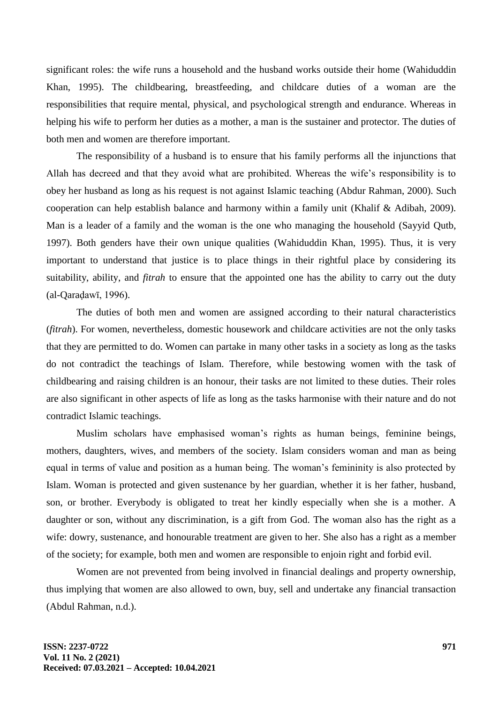significant roles: the wife runs a household and the husband works outside their home (Wahiduddin Khan, 1995). The childbearing, breastfeeding, and childcare duties of a woman are the responsibilities that require mental, physical, and psychological strength and endurance. Whereas in helping his wife to perform her duties as a mother, a man is the sustainer and protector. The duties of both men and women are therefore important.

The responsibility of a husband is to ensure that his family performs all the injunctions that Allah has decreed and that they avoid what are prohibited. Whereas the wife's responsibility is to obey her husband as long as his request is not against Islamic teaching (Abdur Rahman, 2000). Such cooperation can help establish balance and harmony within a family unit (Khalif & Adibah, 2009). Man is a leader of a family and the woman is the one who managing the household (Sayyid Qutb, 1997). Both genders have their own unique qualities (Wahiduddin Khan, 1995). Thus, it is very important to understand that justice is to place things in their rightful place by considering its suitability, ability, and *fitrah* to ensure that the appointed one has the ability to carry out the duty (al-Qaraḍawī, 1996).

The duties of both men and women are assigned according to their natural characteristics (*fitrah*). For women, nevertheless, domestic housework and childcare activities are not the only tasks that they are permitted to do. Women can partake in many other tasks in a society as long as the tasks do not contradict the teachings of Islam. Therefore, while bestowing women with the task of childbearing and raising children is an honour, their tasks are not limited to these duties. Their roles are also significant in other aspects of life as long as the tasks harmonise with their nature and do not contradict Islamic teachings.

Muslim scholars have emphasised woman's rights as human beings, feminine beings, mothers, daughters, wives, and members of the society. Islam considers woman and man as being equal in terms of value and position as a human being. The woman's femininity is also protected by Islam. Woman is protected and given sustenance by her guardian, whether it is her father, husband, son, or brother. Everybody is obligated to treat her kindly especially when she is a mother. A daughter or son, without any discrimination, is a gift from God. The woman also has the right as a wife: dowry, sustenance, and honourable treatment are given to her. She also has a right as a member of the society; for example, both men and women are responsible to enjoin right and forbid evil.

Women are not prevented from being involved in financial dealings and property ownership, thus implying that women are also allowed to own, buy, sell and undertake any financial transaction (Abdul Rahman, n.d.).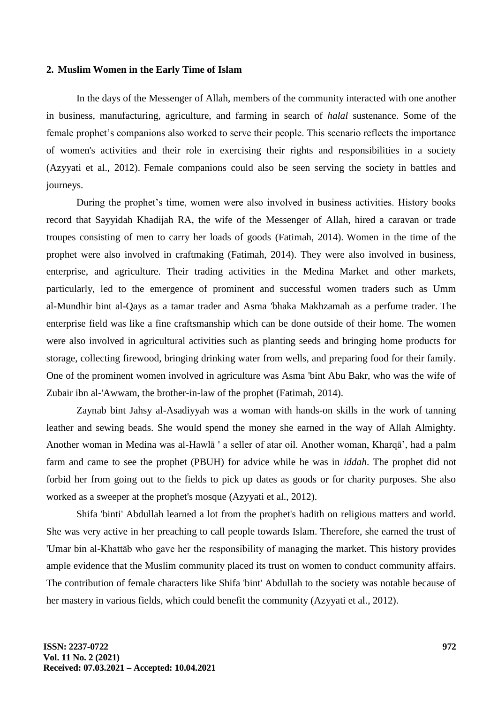#### **2. Muslim Women in the Early Time of Islam**

In the days of the Messenger of Allah, members of the community interacted with one another in business, manufacturing, agriculture, and farming in search of *halal* sustenance. Some of the female prophet's companions also worked to serve their people. This scenario reflects the importance of women's activities and their role in exercising their rights and responsibilities in a society (Azyyati et al., 2012). Female companions could also be seen serving the society in battles and journeys.

During the prophet's time, women were also involved in business activities. History books record that Sayyidah Khadijah RA, the wife of the Messenger of Allah, hired a caravan or trade troupes consisting of men to carry her loads of goods (Fatimah, 2014). Women in the time of the prophet were also involved in craftmaking (Fatimah, 2014). They were also involved in business, enterprise, and agriculture. Their trading activities in the Medina Market and other markets, particularly, led to the emergence of prominent and successful women traders such as Umm al-Mundhir bint al-Qays as a tamar trader and Asma 'bhaka Makhzamah as a perfume trader. The enterprise field was like a fine craftsmanship which can be done outside of their home. The women were also involved in agricultural activities such as planting seeds and bringing home products for storage, collecting firewood, bringing drinking water from wells, and preparing food for their family. One of the prominent women involved in agriculture was Asma 'bint Abu Bakr, who was the wife of Zubair ibn al-'Awwam, the brother-in-law of the prophet (Fatimah, 2014).

Zaynab bint Jahsy al-Asadiyyah was a woman with hands-on skills in the work of tanning leather and sewing beads. She would spend the money she earned in the way of Allah Almighty. Another woman in Medina was al-Hawlā ' a seller of atar oil. Another woman, Kharqā', had a palm farm and came to see the prophet (PBUH) for advice while he was in *iddah*. The prophet did not forbid her from going out to the fields to pick up dates as goods or for charity purposes. She also worked as a sweeper at the prophet's mosque (Azyyati et al., 2012).

Shifa 'binti' Abdullah learned a lot from the prophet's hadith on religious matters and world. She was very active in her preaching to call people towards Islam. Therefore, she earned the trust of 'Umar bin al-Khattāb who gave her the responsibility of managing the market. This history provides ample evidence that the Muslim community placed its trust on women to conduct community affairs. The contribution of female characters like Shifa 'bint' Abdullah to the society was notable because of her mastery in various fields, which could benefit the community (Azyyati et al., 2012).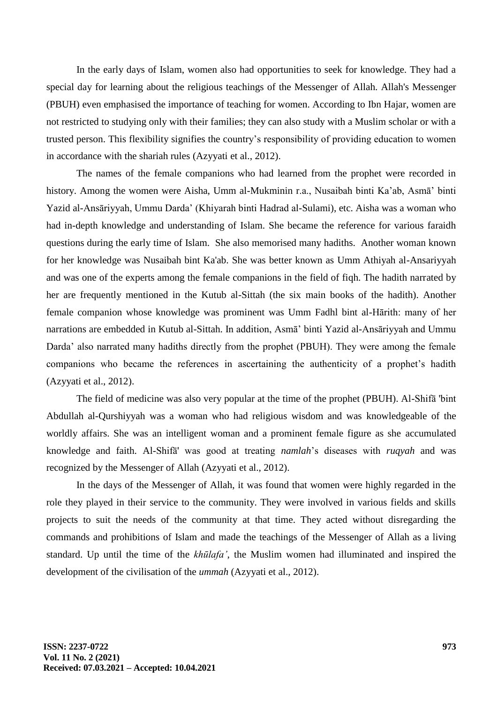In the early days of Islam, women also had opportunities to seek for knowledge. They had a special day for learning about the religious teachings of the Messenger of Allah. Allah's Messenger (PBUH) even emphasised the importance of teaching for women. According to Ibn Hajar, women are not restricted to studying only with their families; they can also study with a Muslim scholar or with a trusted person. This flexibility signifies the country's responsibility of providing education to women in accordance with the shariah rules (Azyyati et al., 2012).

The names of the female companions who had learned from the prophet were recorded in history. Among the women were Aisha, Umm al-Mukminin r.a., Nusaibah binti Ka'ab, Asmā' binti Yazid al-Ansāriyyah, Ummu Darda' (Khiyarah binti Hadrad al-Sulami), etc. Aisha was a woman who had in-depth knowledge and understanding of Islam. She became the reference for various faraidh questions during the early time of Islam. She also memorised many hadiths. Another woman known for her knowledge was Nusaibah bint Ka'ab. She was better known as Umm Athiyah al-Ansariyyah and was one of the experts among the female companions in the field of fiqh. The hadith narrated by her are frequently mentioned in the Kutub al-Sittah (the six main books of the hadith). Another female companion whose knowledge was prominent was Umm Fadhl bint al-Hārith: many of her narrations are embedded in Kutub al-Sittah. In addition, Asmā' binti Yazid al-Ansāriyyah and Ummu Darda' also narrated many hadiths directly from the prophet (PBUH). They were among the female companions who became the references in ascertaining the authenticity of a prophet's hadith (Azyyati et al., 2012).

The field of medicine was also very popular at the time of the prophet (PBUH). Al-Shifā 'bint Abdullah al-Qurshiyyah was a woman who had religious wisdom and was knowledgeable of the worldly affairs. She was an intelligent woman and a prominent female figure as she accumulated knowledge and faith. Al-Shifā' was good at treating *namlah*'s diseases with *ruqyah* and was recognized by the Messenger of Allah (Azyyati et al., 2012).

In the days of the Messenger of Allah, it was found that women were highly regarded in the role they played in their service to the community. They were involved in various fields and skills projects to suit the needs of the community at that time. They acted without disregarding the commands and prohibitions of Islam and made the teachings of the Messenger of Allah as a living standard. Up until the time of the *khūlafa'*, the Muslim women had illuminated and inspired the development of the civilisation of the *ummah* (Azyyati et al., 2012).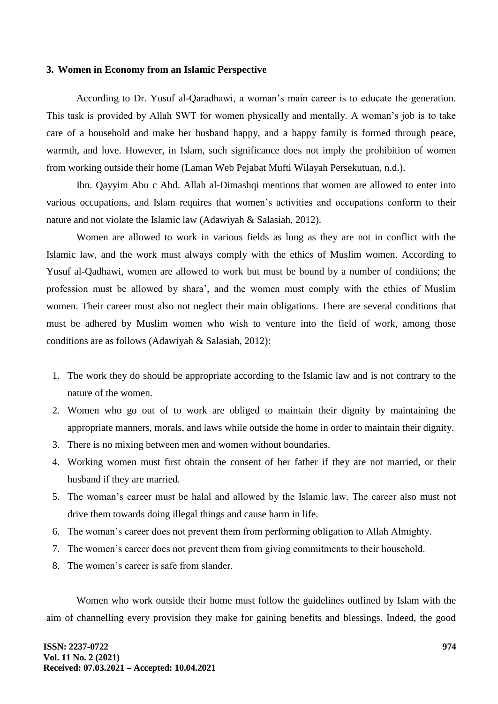#### **3. Women in Economy from an Islamic Perspective**

According to Dr. Yusuf al-Qaradhawi, a woman's main career is to educate the generation. This task is provided by Allah SWT for women physically and mentally. A woman's job is to take care of a household and make her husband happy, and a happy family is formed through peace, warmth, and love. However, in Islam, such significance does not imply the prohibition of women from working outside their home (Laman Web Pejabat Mufti Wilayah Persekutuan, n.d.).

Ibn. Qayyim Abu c Abd. Allah al-Dimashqi mentions that women are allowed to enter into various occupations, and Islam requires that women's activities and occupations conform to their nature and not violate the Islamic law (Adawiyah & Salasiah, 2012).

Women are allowed to work in various fields as long as they are not in conflict with the Islamic law, and the work must always comply with the ethics of Muslim women. According to Yusuf al-Qadhawi, women are allowed to work but must be bound by a number of conditions; the profession must be allowed by shara', and the women must comply with the ethics of Muslim women. Their career must also not neglect their main obligations. There are several conditions that must be adhered by Muslim women who wish to venture into the field of work, among those conditions are as follows (Adawiyah & Salasiah, 2012):

- 1. The work they do should be appropriate according to the Islamic law and is not contrary to the nature of the women.
- 2. Women who go out of to work are obliged to maintain their dignity by maintaining the appropriate manners, morals, and laws while outside the home in order to maintain their dignity.
- 3. There is no mixing between men and women without boundaries.
- 4. Working women must first obtain the consent of her father if they are not married, or their husband if they are married.
- 5. The woman's career must be halal and allowed by the Islamic law. The career also must not drive them towards doing illegal things and cause harm in life.
- 6. The woman's career does not prevent them from performing obligation to Allah Almighty.
- 7. The women's career does not prevent them from giving commitments to their household.
- 8. The women's career is safe from slander.

Women who work outside their home must follow the guidelines outlined by Islam with the aim of channelling every provision they make for gaining benefits and blessings. Indeed, the good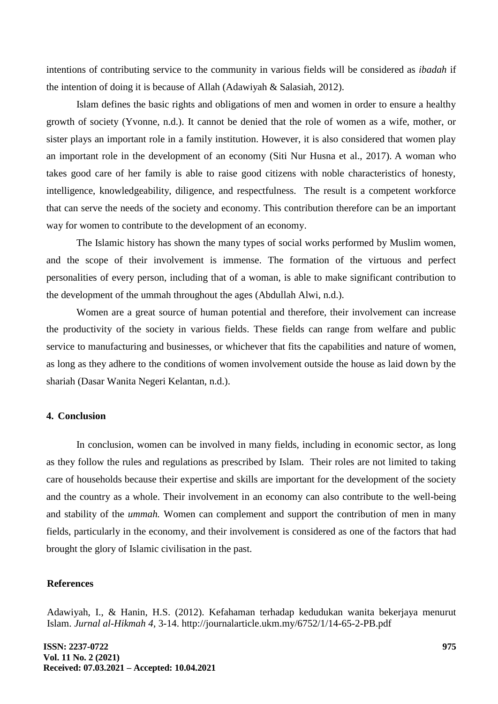intentions of contributing service to the community in various fields will be considered as *ibadah* if the intention of doing it is because of Allah (Adawiyah & Salasiah, 2012).

Islam defines the basic rights and obligations of men and women in order to ensure a healthy growth of society (Yvonne, n.d.). It cannot be denied that the role of women as a wife, mother, or sister plays an important role in a family institution. However, it is also considered that women play an important role in the development of an economy (Siti Nur Husna et al., 2017). A woman who takes good care of her family is able to raise good citizens with noble characteristics of honesty, intelligence, knowledgeability, diligence, and respectfulness. The result is a competent workforce that can serve the needs of the society and economy. This contribution therefore can be an important way for women to contribute to the development of an economy.

The Islamic history has shown the many types of social works performed by Muslim women, and the scope of their involvement is immense. The formation of the virtuous and perfect personalities of every person, including that of a woman, is able to make significant contribution to the development of the ummah throughout the ages (Abdullah Alwi, n.d.).

Women are a great source of human potential and therefore, their involvement can increase the productivity of the society in various fields. These fields can range from welfare and public service to manufacturing and businesses, or whichever that fits the capabilities and nature of women, as long as they adhere to the conditions of women involvement outside the house as laid down by the shariah (Dasar Wanita Negeri Kelantan, n.d.).

## **4. Conclusion**

In conclusion, women can be involved in many fields, including in economic sector, as long as they follow the rules and regulations as prescribed by Islam. Their roles are not limited to taking care of households because their expertise and skills are important for the development of the society and the country as a whole. Their involvement in an economy can also contribute to the well-being and stability of the *ummah.* Women can complement and support the contribution of men in many fields, particularly in the economy, and their involvement is considered as one of the factors that had brought the glory of Islamic civilisation in the past.

### **References**

Adawiyah, I., & Hanin, H.S. (2012). Kefahaman terhadap kedudukan wanita bekerjaya menurut Islam. *Jurnal al-Hikmah 4,* 3-14.<http://journalarticle.ukm.my/6752/1/14-65-2-PB.pdf>

**ISSN: 2237-0722 Vol. 11 No. 2 (2021) Received: 07.03.2021 – Accepted: 10.04.2021**